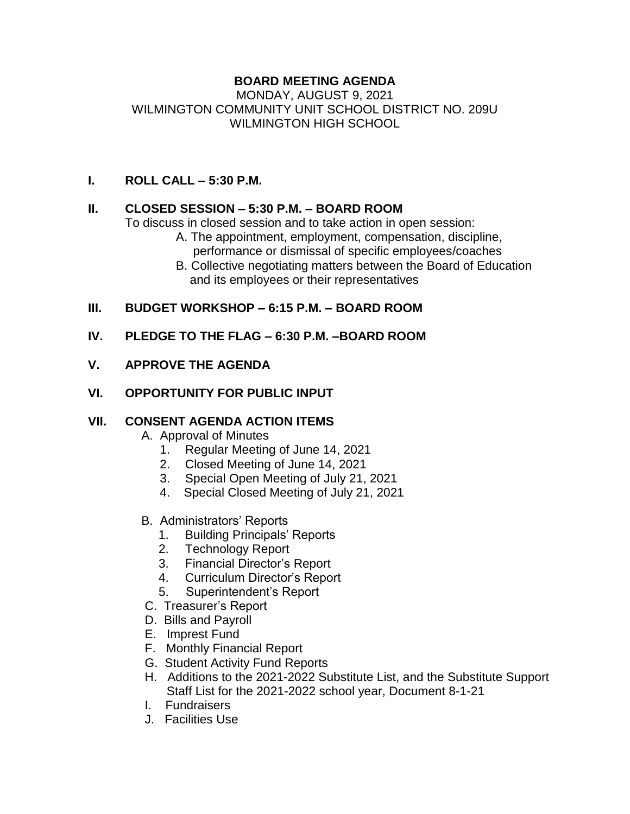# **BOARD MEETING AGENDA**

#### MONDAY, AUGUST 9, 2021 WILMINGTON COMMUNITY UNIT SCHOOL DISTRICT NO. 209U WILMINGTON HIGH SCHOOL

### **I. ROLL CALL – 5:30 P.M.**

# **II. CLOSED SESSION – 5:30 P.M. – BOARD ROOM**

To discuss in closed session and to take action in open session:

- A. The appointment, employment, compensation, discipline, performance or dismissal of specific employees/coaches
- B. Collective negotiating matters between the Board of Education and its employees or their representatives

# **III. BUDGET WORKSHOP – 6:15 P.M. – BOARD ROOM**

#### **IV. PLEDGE TO THE FLAG – 6:30 P.M. –BOARD ROOM**

#### **V. APPROVE THE AGENDA**

#### **VI. OPPORTUNITY FOR PUBLIC INPUT**

# **VII. CONSENT AGENDA ACTION ITEMS**

- A. Approval of Minutes
	- 1. Regular Meeting of June 14, 2021
	- 2. Closed Meeting of June 14, 2021
	- 3. Special Open Meeting of July 21, 2021
	- 4. Special Closed Meeting of July 21, 2021
- B. Administrators' Reports
	- 1. Building Principals' Reports
	- 2. Technology Report
	- 3. Financial Director's Report
	- 4. Curriculum Director's Report
	- 5. Superintendent's Report
- C. Treasurer's Report
- D. Bills and Payroll
- E. Imprest Fund
- F. Monthly Financial Report
- G. Student Activity Fund Reports
- H. Additions to the 2021-2022 Substitute List, and the Substitute Support Staff List for the 2021-2022 school year, Document 8-1-21
- I. Fundraisers
- J. Facilities Use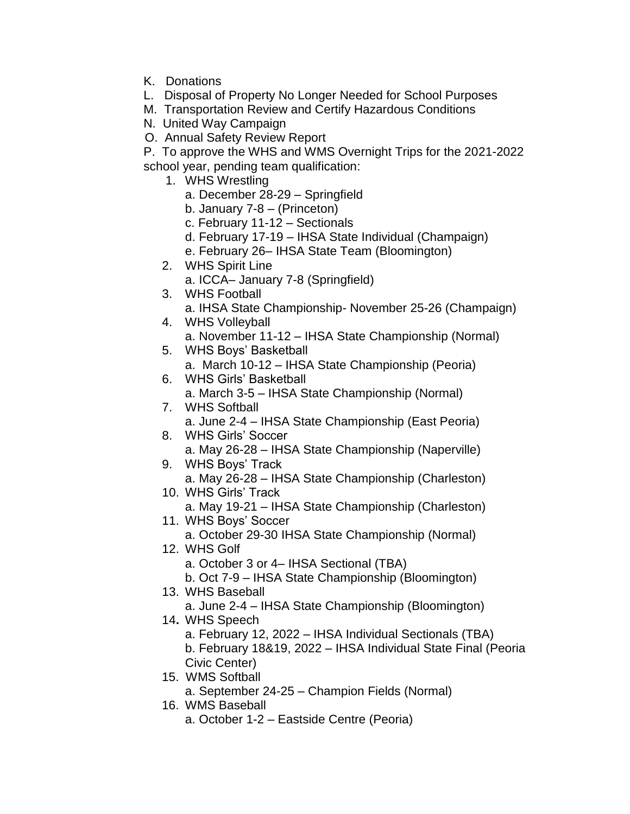- K. Donations
- L. Disposal of Property No Longer Needed for School Purposes
- M. Transportation Review and Certify Hazardous Conditions
- N. United Way Campaign
- O. Annual Safety Review Report
- P. To approve the WHS and WMS Overnight Trips for the 2021-2022 school year, pending team qualification:
	- 1. WHS Wrestling
		- a. December 28-29 Springfield
		- b. January 7-8 (Princeton)
		- c. February 11-12 Sectionals
		- d. February 17-19 IHSA State Individual (Champaign)
		- e. February 26– IHSA State Team (Bloomington)
	- 2. WHS Spirit Line
		- a. ICCA– January 7-8 (Springfield)
	- 3. WHS Football
		- a. IHSA State Championship- November 25-26 (Champaign)
	- 4. WHS Volleyball
	- a. November 11-12 IHSA State Championship (Normal)
	- 5. WHS Boys' Basketball
		- a. March 10-12 IHSA State Championship (Peoria)
	- 6. WHS Girls' Basketball a. March 3-5 – IHSA State Championship (Normal)
	- 7. WHS Softball a. June 2-4 – IHSA State Championship (East Peoria)
	- 8. WHS Girls' Soccer a. May 26-28 – IHSA State Championship (Naperville)
	- 9. WHS Boys' Track a. May 26-28 – IHSA State Championship (Charleston)
	- 10. WHS Girls' Track a. May 19-21 – IHSA State Championship (Charleston)
	- 11. WHS Boys' Soccer a. October 29-30 IHSA State Championship (Normal)
	- 12. WHS Golf
		- a. October 3 or 4– IHSA Sectional (TBA)
		- b. Oct 7-9 IHSA State Championship (Bloomington)
	- 13. WHS Baseball
		- a. June 2-4 IHSA State Championship (Bloomington)
	- 14**.** WHS Speech
		- a. February 12, 2022 IHSA Individual Sectionals (TBA) b. February 18&19, 2022 – IHSA Individual State Final (Peoria Civic Center)
	- 15. WMS Softball
		- a. September 24-25 Champion Fields (Normal)
	- 16. WMS Baseball
		- a. October 1-2 Eastside Centre (Peoria)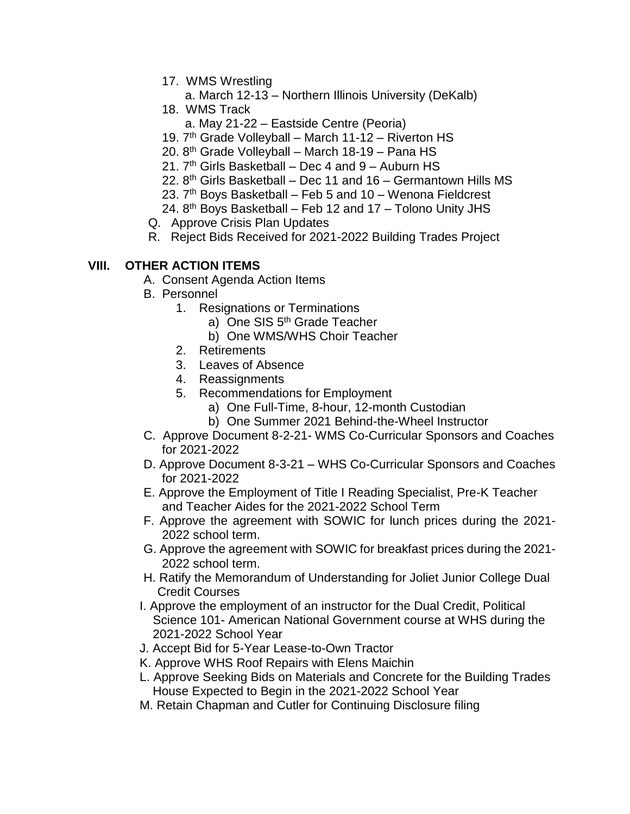- 17. WMS Wrestling
	- a. March 12-13 Northern Illinois University (DeKalb)
- 18. WMS Track
	- a. May 21-22 Eastside Centre (Peoria)
- 19. 7<sup>th</sup> Grade Volleyball March 11-12 Riverton HS
- 20. 8th Grade Volleyball March 18-19 Pana HS
- 21.  $7<sup>th</sup>$  Girls Basketball Dec 4 and 9 Auburn HS
- 22.  $8<sup>th</sup>$  Girls Basketball Dec 11 and 16 Germantown Hills MS
- 23.  $7<sup>th</sup>$  Boys Basketball Feb 5 and 10 Wenona Fieldcrest
- 24.  $8<sup>th</sup>$  Boys Basketball Feb 12 and 17 Tolono Unity JHS
- Q. Approve Crisis Plan Updates
- R. Reject Bids Received for 2021-2022 Building Trades Project

# **VIII. OTHER ACTION ITEMS**

- A. Consent Agenda Action Items
- B. Personnel
	- 1. Resignations or Terminations
		- a) One SIS 5<sup>th</sup> Grade Teacher
		- b) One WMS/WHS Choir Teacher
	- 2. Retirements
	- 3. Leaves of Absence
	- 4. Reassignments
	- 5. Recommendations for Employment
		- a) One Full-Time, 8-hour, 12-month Custodian
		- b) One Summer 2021 Behind-the-Wheel Instructor
- C. Approve Document 8-2-21- WMS Co-Curricular Sponsors and Coaches for 2021-2022
- D. Approve Document 8-3-21 WHS Co-Curricular Sponsors and Coaches for 2021-2022
- E. Approve the Employment of Title I Reading Specialist, Pre-K Teacher and Teacher Aides for the 2021-2022 School Term
- F. Approve the agreement with SOWIC for lunch prices during the 2021- 2022 school term.
- G. Approve the agreement with SOWIC for breakfast prices during the 2021- 2022 school term.
- H. Ratify the Memorandum of Understanding for Joliet Junior College Dual Credit Courses
- I. Approve the employment of an instructor for the Dual Credit, Political Science 101- American National Government course at WHS during the 2021-2022 School Year
- J. Accept Bid for 5-Year Lease-to-Own Tractor
- K. Approve WHS Roof Repairs with Elens Maichin
- L. Approve Seeking Bids on Materials and Concrete for the Building Trades House Expected to Begin in the 2021-2022 School Year
- M. Retain Chapman and Cutler for Continuing Disclosure filing